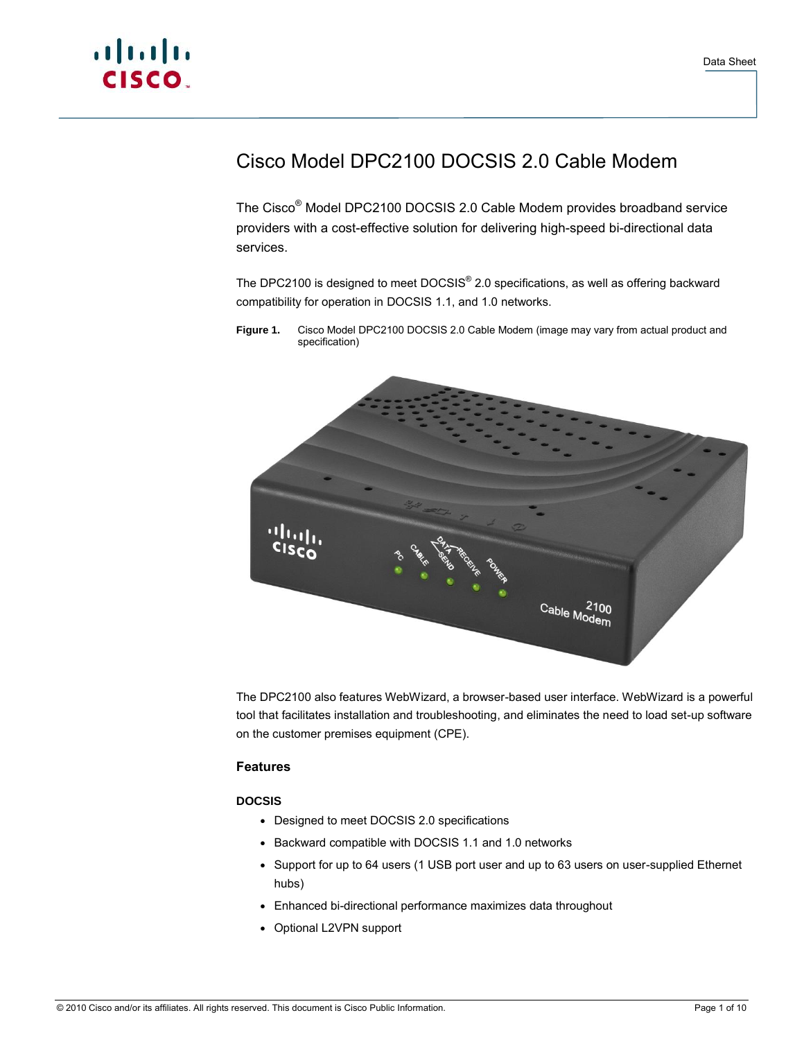

## Cisco Model DPC2100 DOCSIS 2.0 Cable Modem

The Cisco® Model DPC2100 DOCSIS 2.0 Cable Modem provides broadband service providers with a cost-effective solution for delivering high-speed bi-directional data services.

The DPC2100 is designed to meet DOCSIS® 2.0 specifications, as well as offering backward compatibility for operation in DOCSIS 1.1, and 1.0 networks.

**Figure 1.** Cisco Model DPC2100 DOCSIS 2.0 Cable Modem (image may vary from actual product and specification)



The DPC2100 also features WebWizard, a browser-based user interface. WebWizard is a powerful tool that facilitates installation and troubleshooting, and eliminates the need to load set-up software on the customer premises equipment (CPE).

#### **Features**

#### **DOCSIS**

- Designed to meet DOCSIS 2.0 specifications
- Backward compatible with DOCSIS 1.1 and 1.0 networks
- Support for up to 64 users (1 USB port user and up to 63 users on user-supplied Ethernet hubs)
- Enhanced bi-directional performance maximizes data throughout
- Optional L2VPN support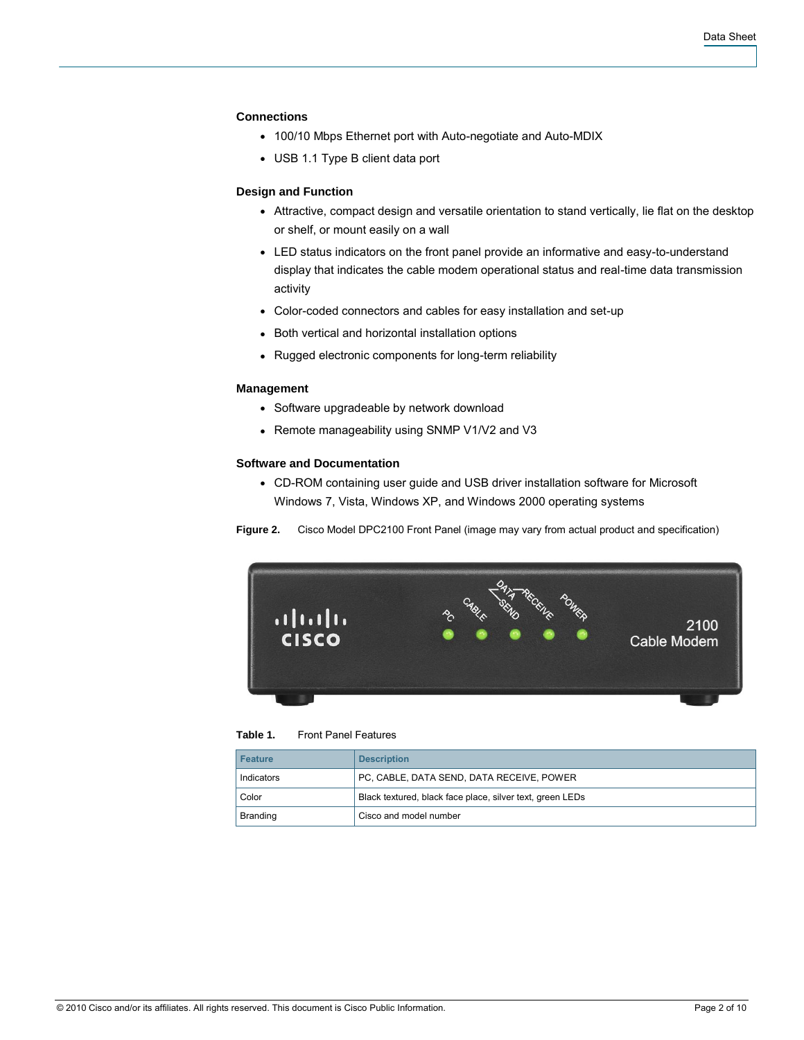#### **Connections**

- 100/10 Mbps Ethernet port with Auto-negotiate and Auto-MDIX
- USB 1.1 Type B client data port

#### **Design and Function**

- Attractive, compact design and versatile orientation to stand vertically, lie flat on the desktop or shelf, or mount easily on a wall
- LED status indicators on the front panel provide an informative and easy-to-understand display that indicates the cable modem operational status and real-time data transmission activity
- Color-coded connectors and cables for easy installation and set-up
- Both vertical and horizontal installation options
- Rugged electronic components for long-term reliability

#### **Management**

- Software upgradeable by network download
- Remote manageability using SNMP V1/V2 and V3

#### **Software and Documentation**

• CD-ROM containing user guide and USB driver installation software for Microsoft Windows 7, Vista, Windows XP, and Windows 2000 operating systems





#### **Table 1.** Front Panel Features

| <b>Feature</b> | <b>Description</b>                                        |
|----------------|-----------------------------------------------------------|
| Indicators     | PC, CABLE, DATA SEND, DATA RECEIVE, POWER                 |
| Color          | Black textured, black face place, silver text, green LEDs |
| Branding       | Cisco and model number                                    |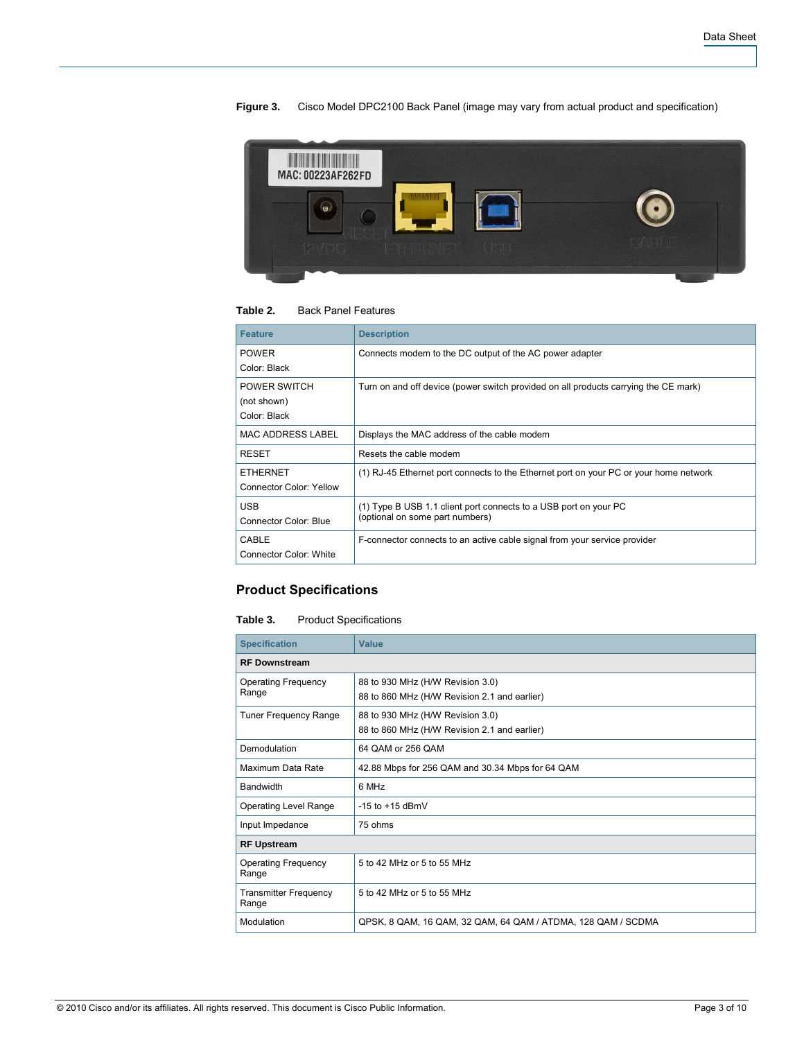# H MAC: 00223AF262FD O

#### **Figure 3.** Cisco Model DPC2100 Back Panel (image may vary from actual product and specification)

#### **Table 2.** Back Panel Features

| <b>Feature</b>                | <b>Description</b>                                                                    |
|-------------------------------|---------------------------------------------------------------------------------------|
| <b>POWER</b>                  | Connects modem to the DC output of the AC power adapter                               |
| Color: Black                  |                                                                                       |
| POWER SWITCH                  | Turn on and off device (power switch provided on all products carrying the CE mark)   |
| (not shown)                   |                                                                                       |
| Color: Black                  |                                                                                       |
| MAC ADDRESS LABEL             | Displays the MAC address of the cable modem                                           |
| <b>RESET</b>                  | Resets the cable modem                                                                |
| <b>FTHERNET</b>               | (1) RJ-45 Ethernet port connects to the Ethernet port on your PC or your home network |
| Connector Color: Yellow       |                                                                                       |
| <b>USB</b>                    | (1) Type B USB 1.1 client port connects to a USB port on your PC                      |
| Connector Color: Blue         | (optional on some part numbers)                                                       |
| CABLE                         | F-connector connects to an active cable signal from your service provider             |
| <b>Connector Color: White</b> |                                                                                       |

#### **Product Specifications**

#### **Table 3.** Product Specifications

| <b>Specification</b>                  | Value                                                                            |  |
|---------------------------------------|----------------------------------------------------------------------------------|--|
| <b>RF Downstream</b>                  |                                                                                  |  |
| <b>Operating Frequency</b><br>Range   | 88 to 930 MHz (H/W Revision 3.0)<br>88 to 860 MHz (H/W Revision 2.1 and earlier) |  |
| <b>Tuner Frequency Range</b>          | 88 to 930 MHz (H/W Revision 3.0)<br>88 to 860 MHz (H/W Revision 2.1 and earlier) |  |
| Demodulation                          | 64 QAM or 256 QAM                                                                |  |
| Maximum Data Rate                     | 42.88 Mbps for 256 QAM and 30.34 Mbps for 64 QAM                                 |  |
| Bandwidth                             | 6 MHz                                                                            |  |
| <b>Operating Level Range</b>          | -15 to $+15$ dBmV                                                                |  |
| Input Impedance                       | 75 ohms                                                                          |  |
| <b>RF Upstream</b>                    |                                                                                  |  |
| <b>Operating Frequency</b><br>Range   | 5 to 42 MHz or 5 to 55 MHz                                                       |  |
| <b>Transmitter Frequency</b><br>Range | 5 to 42 MHz or 5 to 55 MHz                                                       |  |
| Modulation                            | QPSK, 8 QAM, 16 QAM, 32 QAM, 64 QAM / ATDMA, 128 QAM / SCDMA                     |  |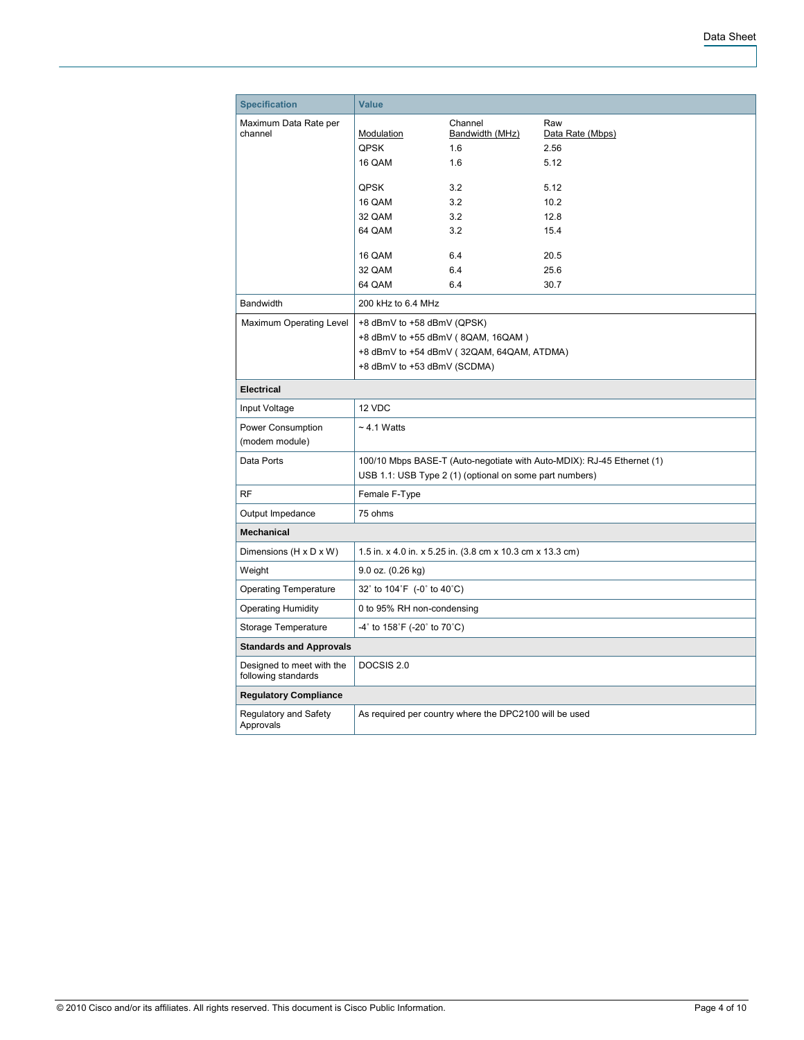| <b>Specification</b>                             | <b>Value</b>                                                           |                                                           |                         |  |
|--------------------------------------------------|------------------------------------------------------------------------|-----------------------------------------------------------|-------------------------|--|
| Maximum Data Rate per<br>channel                 | Modulation                                                             | Channel<br>Bandwidth (MHz)                                | Raw<br>Data Rate (Mbps) |  |
|                                                  | QPSK                                                                   | 1.6                                                       | 2.56                    |  |
|                                                  | 16 QAM                                                                 | 1.6                                                       | 5.12                    |  |
|                                                  | <b>QPSK</b>                                                            | 3.2                                                       | 5.12                    |  |
|                                                  | 16 QAM                                                                 | 3.2                                                       | 10.2                    |  |
|                                                  | 32 QAM                                                                 | 3.2                                                       | 12.8                    |  |
|                                                  | 64 QAM                                                                 | 3.2                                                       | 15.4                    |  |
|                                                  | 16 QAM                                                                 | 6.4                                                       | 20.5                    |  |
|                                                  | 32 QAM                                                                 | 6.4                                                       | 25.6                    |  |
|                                                  | 64 QAM                                                                 | 6.4                                                       | 30.7                    |  |
| <b>Bandwidth</b>                                 | 200 kHz to 6.4 MHz                                                     |                                                           |                         |  |
| Maximum Operating Level                          | +8 dBmV to +58 dBmV (QPSK)                                             |                                                           |                         |  |
|                                                  |                                                                        | +8 dBmV to +55 dBmV (8QAM, 16QAM)                         |                         |  |
|                                                  |                                                                        | +8 dBmV to +54 dBmV (32QAM, 64QAM, ATDMA)                 |                         |  |
|                                                  | +8 dBmV to +53 dBmV (SCDMA)                                            |                                                           |                         |  |
| <b>Electrical</b>                                |                                                                        |                                                           |                         |  |
| Input Voltage                                    | 12 VDC                                                                 |                                                           |                         |  |
| Power Consumption                                | $\sim$ 4.1 Watts                                                       |                                                           |                         |  |
| (modem module)                                   |                                                                        |                                                           |                         |  |
| Data Ports                                       | 100/10 Mbps BASE-T (Auto-negotiate with Auto-MDIX): RJ-45 Ethernet (1) |                                                           |                         |  |
|                                                  | USB 1.1: USB Type 2 (1) (optional on some part numbers)                |                                                           |                         |  |
| <b>RF</b>                                        | Female F-Type                                                          |                                                           |                         |  |
| Output Impedance                                 | 75 ohms                                                                |                                                           |                         |  |
| <b>Mechanical</b>                                |                                                                        |                                                           |                         |  |
| Dimensions (H x D x W)                           |                                                                        | 1.5 in. x 4.0 in. x 5.25 in. (3.8 cm x 10.3 cm x 13.3 cm) |                         |  |
| Weight                                           | 9.0 oz. (0.26 kg)                                                      |                                                           |                         |  |
| <b>Operating Temperature</b>                     |                                                                        | 32° to 104°F $(-0)$ ° to 40°C)                            |                         |  |
| <b>Operating Humidity</b>                        | 0 to 95% RH non-condensing                                             |                                                           |                         |  |
| Storage Temperature                              | -4° to 158°F (-20° to 70°C)                                            |                                                           |                         |  |
| <b>Standards and Approvals</b>                   |                                                                        |                                                           |                         |  |
| Designed to meet with the<br>following standards | DOCSIS 2.0                                                             |                                                           |                         |  |
| <b>Regulatory Compliance</b>                     |                                                                        |                                                           |                         |  |
| Regulatory and Safety<br>Approvals               |                                                                        | As required per country where the DPC2100 will be used    |                         |  |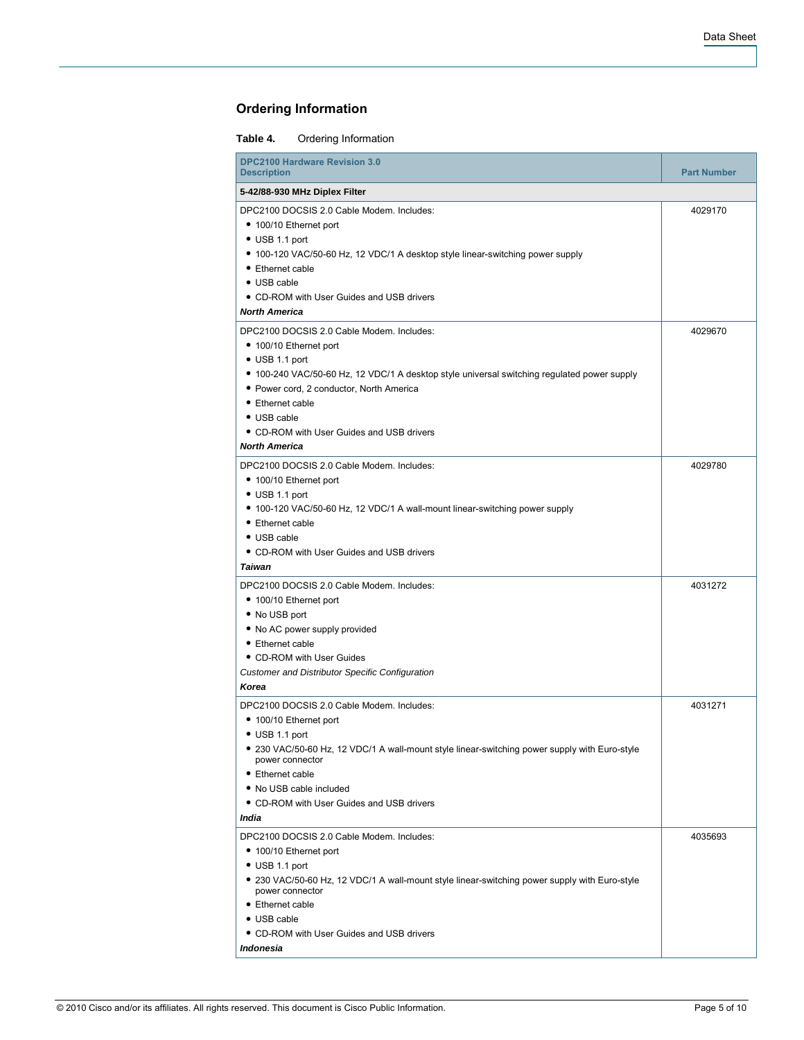### **Ordering Information**

#### **Table 4.** Ordering Information

| <b>DPC2100 Hardware Revision 3.0</b><br><b>Description</b>                                                                                                                                                                                                                                                                                       | <b>Part Number</b> |
|--------------------------------------------------------------------------------------------------------------------------------------------------------------------------------------------------------------------------------------------------------------------------------------------------------------------------------------------------|--------------------|
| 5-42/88-930 MHz Diplex Filter                                                                                                                                                                                                                                                                                                                    |                    |
| DPC2100 DOCSIS 2.0 Cable Modem. Includes:<br>• 100/10 Ethernet port<br>• USB 1.1 port<br>• 100-120 VAC/50-60 Hz, 12 VDC/1 A desktop style linear-switching power supply<br>• Ethernet cable<br>• USB cable<br>• CD-ROM with User Guides and USB drivers<br><b>North America</b>                                                                  | 4029170            |
| DPC2100 DOCSIS 2.0 Cable Modem. Includes:<br>• 100/10 Ethernet port<br>$\bullet$ USB 1.1 port<br>• 100-240 VAC/50-60 Hz, 12 VDC/1 A desktop style universal switching regulated power supply<br>· Power cord, 2 conductor, North America<br>• Ethernet cable<br>• USB cable<br>• CD-ROM with User Guides and USB drivers<br><b>North America</b> | 4029670            |
| DPC2100 DOCSIS 2.0 Cable Modem. Includes:<br>• 100/10 Ethernet port<br>$\bullet$ USB 1.1 port<br>• 100-120 VAC/50-60 Hz, 12 VDC/1 A wall-mount linear-switching power supply<br>• Ethernet cable<br>• USB cable<br>• CD-ROM with User Guides and USB drivers<br>Taiwan                                                                           | 4029780            |
| DPC2100 DOCSIS 2.0 Cable Modem. Includes:<br>• 100/10 Ethernet port<br>• No USB port<br>. No AC power supply provided<br>• Ethernet cable<br>• CD-ROM with User Guides<br><b>Customer and Distributor Specific Configuration</b><br>Korea                                                                                                        | 4031272            |
| DPC2100 DOCSIS 2.0 Cable Modem. Includes:<br>• 100/10 Ethernet port<br>$\bullet$ USB 1.1 port<br>• 230 VAC/50-60 Hz, 12 VDC/1 A wall-mount style linear-switching power supply with Euro-style<br>power connector<br>• Ethernet cable<br>• No USB cable included<br>• CD-ROM with User Guides and USB drivers<br>India                           | 4031271            |
| DPC2100 DOCSIS 2.0 Cable Modem. Includes:<br>• 100/10 Ethernet port<br>$\bullet$ USB 1.1 port<br>• 230 VAC/50-60 Hz, 12 VDC/1 A wall-mount style linear-switching power supply with Euro-style<br>power connector<br>• Ethernet cable<br>• USB cable<br>• CD-ROM with User Guides and USB drivers<br>Indonesia                                   | 4035693            |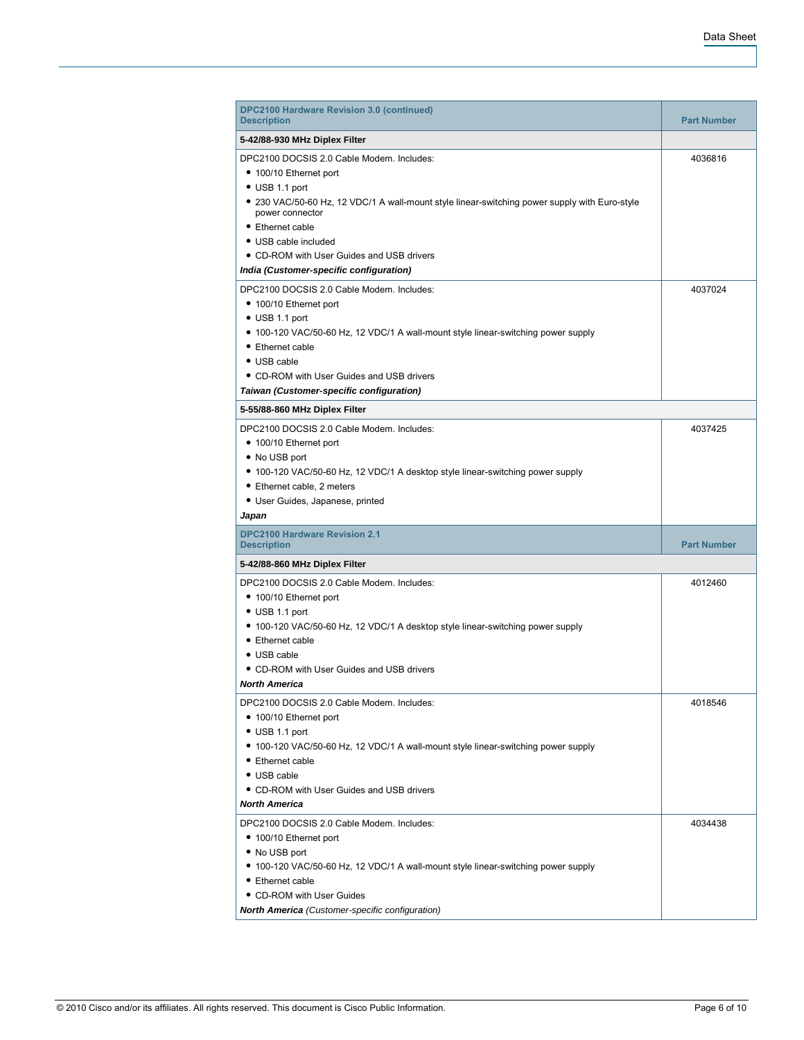| DPC2100 Hardware Revision 3.0 (continued)<br><b>Description</b>                                                                                                                                                                                                                                                                                       | <b>Part Number</b> |
|-------------------------------------------------------------------------------------------------------------------------------------------------------------------------------------------------------------------------------------------------------------------------------------------------------------------------------------------------------|--------------------|
| 5-42/88-930 MHz Diplex Filter                                                                                                                                                                                                                                                                                                                         |                    |
| DPC2100 DOCSIS 2.0 Cable Modem. Includes:<br>• 100/10 Ethernet port<br>$\bullet$ USB 1.1 port<br>• 230 VAC/50-60 Hz, 12 VDC/1 A wall-mount style linear-switching power supply with Euro-style<br>power connector<br>• Ethernet cable<br>• USB cable included<br>• CD-ROM with User Guides and USB drivers<br>India (Customer-specific configuration) | 4036816            |
| DPC2100 DOCSIS 2.0 Cable Modem. Includes:<br>• 100/10 Ethernet port<br>$\bullet$ USB 1.1 port<br>• 100-120 VAC/50-60 Hz, 12 VDC/1 A wall-mount style linear-switching power supply<br>• Ethernet cable<br>• USB cable<br>• CD-ROM with User Guides and USB drivers<br>Taiwan (Customer-specific configuration)                                        | 4037024            |
| 5-55/88-860 MHz Diplex Filter                                                                                                                                                                                                                                                                                                                         |                    |
| • 100/10 Ethernet port<br>• No USB port<br>• 100-120 VAC/50-60 Hz, 12 VDC/1 A desktop style linear-switching power supply<br>• Ethernet cable, 2 meters<br>• User Guides, Japanese, printed<br>Japan                                                                                                                                                  |                    |
| <b>DPC2100 Hardware Revision 2.1</b><br><b>Description</b>                                                                                                                                                                                                                                                                                            | <b>Part Number</b> |
| 5-42/88-860 MHz Diplex Filter                                                                                                                                                                                                                                                                                                                         |                    |
| DPC2100 DOCSIS 2.0 Cable Modem. Includes:<br>• 100/10 Ethernet port<br>$\bullet$ USB 1.1 port<br>• 100-120 VAC/50-60 Hz, 12 VDC/1 A desktop style linear-switching power supply<br>• Ethernet cable<br>$\bullet$ USB cable<br>• CD-ROM with User Guides and USB drivers<br><b>North America</b>                                                       | 4012460            |
| DPC2100 DOCSIS 2.0 Cable Modem. Includes:<br>• 100/10 Ethernet port<br>• USB 1.1 port<br>• 100-120 VAC/50-60 Hz, 12 VDC/1 A wall-mount style linear-switching power supply<br>• Ethernet cable<br>$\bullet$ USB cable<br>• CD-ROM with User Guides and USB drivers<br>North America                                                                   | 4018546            |
| DPC2100 DOCSIS 2.0 Cable Modem. Includes:<br>• 100/10 Ethernet port<br>• No USB port<br>• 100-120 VAC/50-60 Hz, 12 VDC/1 A wall-mount style linear-switching power supply<br>• Ethernet cable<br>• CD-ROM with User Guides<br><b>North America</b> (Customer-specific configuration)                                                                  | 4034438            |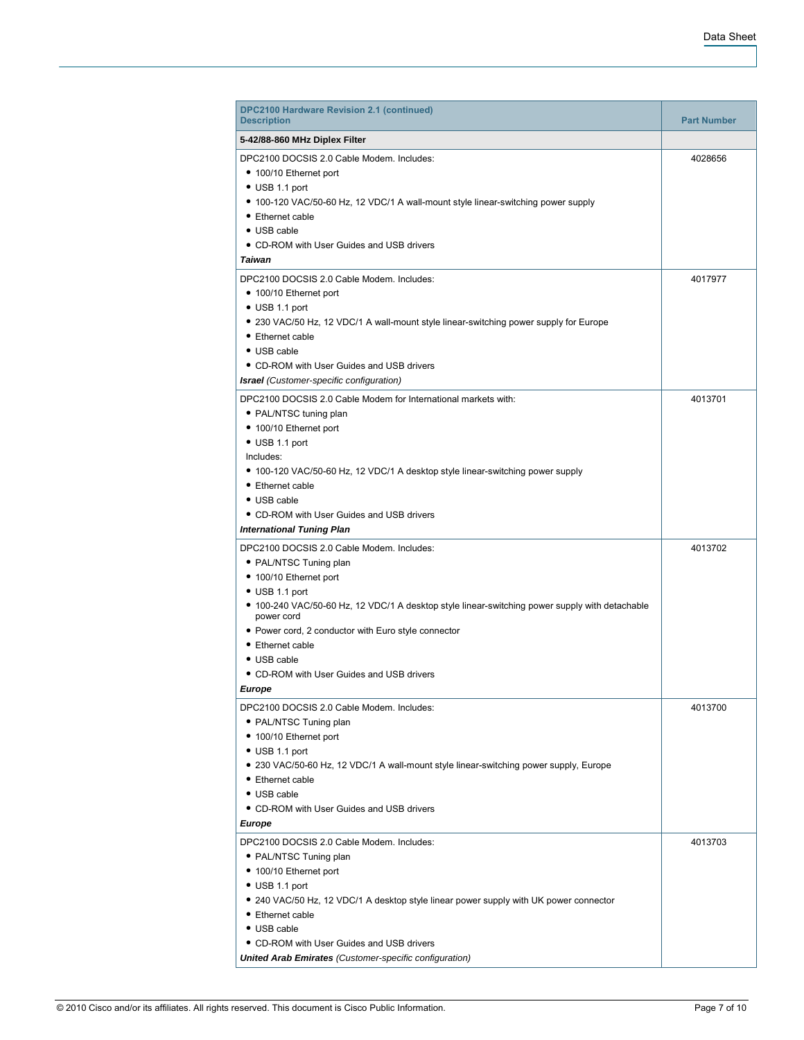| <b>DPC2100 Hardware Revision 2.1 (continued)</b><br><b>Description</b>                                                                                                                                                                                                                                                                                                         | <b>Part Number</b> |
|--------------------------------------------------------------------------------------------------------------------------------------------------------------------------------------------------------------------------------------------------------------------------------------------------------------------------------------------------------------------------------|--------------------|
| 5-42/88-860 MHz Diplex Filter                                                                                                                                                                                                                                                                                                                                                  |                    |
| DPC2100 DOCSIS 2.0 Cable Modem. Includes:<br>• 100/10 Ethernet port<br>$\bullet$ USB 1.1 port                                                                                                                                                                                                                                                                                  | 4028656            |
| • 100-120 VAC/50-60 Hz, 12 VDC/1 A wall-mount style linear-switching power supply<br>• Ethernet cable<br>• USB cable<br>• CD-ROM with User Guides and USB drivers                                                                                                                                                                                                              |                    |
| <b>Taiwan</b>                                                                                                                                                                                                                                                                                                                                                                  |                    |
| DPC2100 DOCSIS 2.0 Cable Modem. Includes:<br>• 100/10 Ethernet port<br>$\bullet$ USB 1.1 port                                                                                                                                                                                                                                                                                  | 4017977            |
| • 230 VAC/50 Hz, 12 VDC/1 A wall-mount style linear-switching power supply for Europe<br>• Ethernet cable<br>• USB cable<br>• CD-ROM with User Guides and USB drivers                                                                                                                                                                                                          |                    |
| <b>Israel</b> (Customer-specific configuration)                                                                                                                                                                                                                                                                                                                                |                    |
| DPC2100 DOCSIS 2.0 Cable Modem for International markets with:<br>• PAL/NTSC tuning plan<br>• 100/10 Ethernet port<br>$\bullet$ USB 1.1 port<br>Includes:<br>• 100-120 VAC/50-60 Hz, 12 VDC/1 A desktop style linear-switching power supply<br>• Ethernet cable<br>• USB cable<br>• CD-ROM with User Guides and USB drivers<br><b>International Tuning Plan</b>                | 4013701            |
| DPC2100 DOCSIS 2.0 Cable Modem. Includes:<br>• PAL/NTSC Tuning plan<br>• 100/10 Ethernet port<br>$\bullet$ USB 1.1 port<br>• 100-240 VAC/50-60 Hz, 12 VDC/1 A desktop style linear-switching power supply with detachable<br>power cord<br>• Power cord, 2 conductor with Euro style connector<br>• Ethernet cable<br>• USB cable<br>• CD-ROM with User Guides and USB drivers | 4013702            |
| Europe                                                                                                                                                                                                                                                                                                                                                                         |                    |
| DPC2100 DOCSIS 2.0 Cable Modem. Includes:<br>• PAL/NTSC Tuning plan<br>• 100/10 Ethernet port<br>$\bullet$ USB 1.1 port<br>• 230 VAC/50-60 Hz, 12 VDC/1 A wall-mount style linear-switching power supply, Europe<br>• Ethernet cable<br>• USB cable<br>• CD-ROM with User Guides and USB drivers<br>Europe                                                                     | 4013700            |
| DPC2100 DOCSIS 2.0 Cable Modem. Includes:<br>• PAL/NTSC Tuning plan<br>• 100/10 Ethernet port<br>$\bullet$ USB 1.1 port<br>• 240 VAC/50 Hz, 12 VDC/1 A desktop style linear power supply with UK power connector<br>• Ethernet cable<br>• USB cable<br>• CD-ROM with User Guides and USB drivers                                                                               | 4013703            |
| <b>United Arab Emirates</b> (Customer-specific configuration)                                                                                                                                                                                                                                                                                                                  |                    |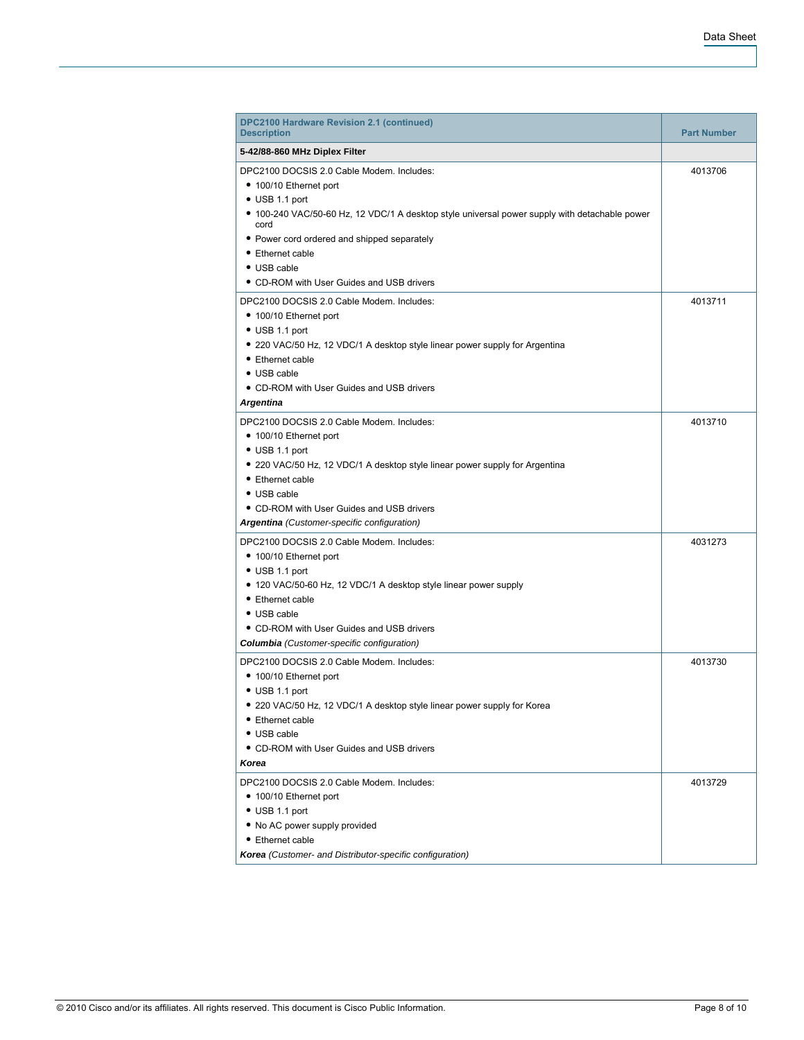| <b>DPC2100 Hardware Revision 2.1 (continued)</b><br><b>Description</b>                                                                                                                                                                                                                                      | <b>Part Number</b> |
|-------------------------------------------------------------------------------------------------------------------------------------------------------------------------------------------------------------------------------------------------------------------------------------------------------------|--------------------|
| 5-42/88-860 MHz Diplex Filter                                                                                                                                                                                                                                                                               |                    |
| DPC2100 DOCSIS 2.0 Cable Modem. Includes:<br>• 100/10 Ethernet port<br>$\bullet$ USB 1.1 port<br>• 100-240 VAC/50-60 Hz, 12 VDC/1 A desktop style universal power supply with detachable power<br>cord                                                                                                      | 4013706            |
| • Power cord ordered and shipped separately<br>• Ethernet cable<br>• USB cable<br>• CD-ROM with User Guides and USB drivers                                                                                                                                                                                 |                    |
| DPC2100 DOCSIS 2.0 Cable Modem. Includes:<br>• 100/10 Ethernet port<br>$\bullet$ USB 1.1 port<br>• 220 VAC/50 Hz, 12 VDC/1 A desktop style linear power supply for Argentina<br>• Ethernet cable<br>• USB cable<br>• CD-ROM with User Guides and USB drivers                                                | 4013711            |
| <b>Argentina</b>                                                                                                                                                                                                                                                                                            |                    |
| DPC2100 DOCSIS 2.0 Cable Modem. Includes:<br>• 100/10 Ethernet port<br>$\bullet$ USB 1.1 port<br>• 220 VAC/50 Hz, 12 VDC/1 A desktop style linear power supply for Argentina<br>• Ethernet cable<br>• USB cable<br>• CD-ROM with User Guides and USB drivers<br>Argentina (Customer-specific configuration) | 4013710            |
| DPC2100 DOCSIS 2.0 Cable Modem. Includes:<br>• 100/10 Ethernet port<br>$\bullet$ USB 1.1 port<br>• 120 VAC/50-60 Hz, 12 VDC/1 A desktop style linear power supply<br>• Ethernet cable<br>• USB cable<br>• CD-ROM with User Guides and USB drivers<br><b>Columbia</b> (Customer-specific configuration)      | 4031273            |
| DPC2100 DOCSIS 2.0 Cable Modem. Includes:<br>• 100/10 Ethernet port<br>$\bullet$ USB 1.1 port<br>• 220 VAC/50 Hz, 12 VDC/1 A desktop style linear power supply for Korea<br>• Ethernet cable<br>• USB cable<br>• CD-ROM with User Guides and USB drivers<br>Korea                                           | 4013730            |
| DPC2100 DOCSIS 2.0 Cable Modem. Includes:<br>• 100/10 Ethernet port<br>$\bullet$ USB 1.1 port<br>• No AC power supply provided<br>• Ethernet cable<br>Korea (Customer- and Distributor-specific configuration)                                                                                              | 4013729            |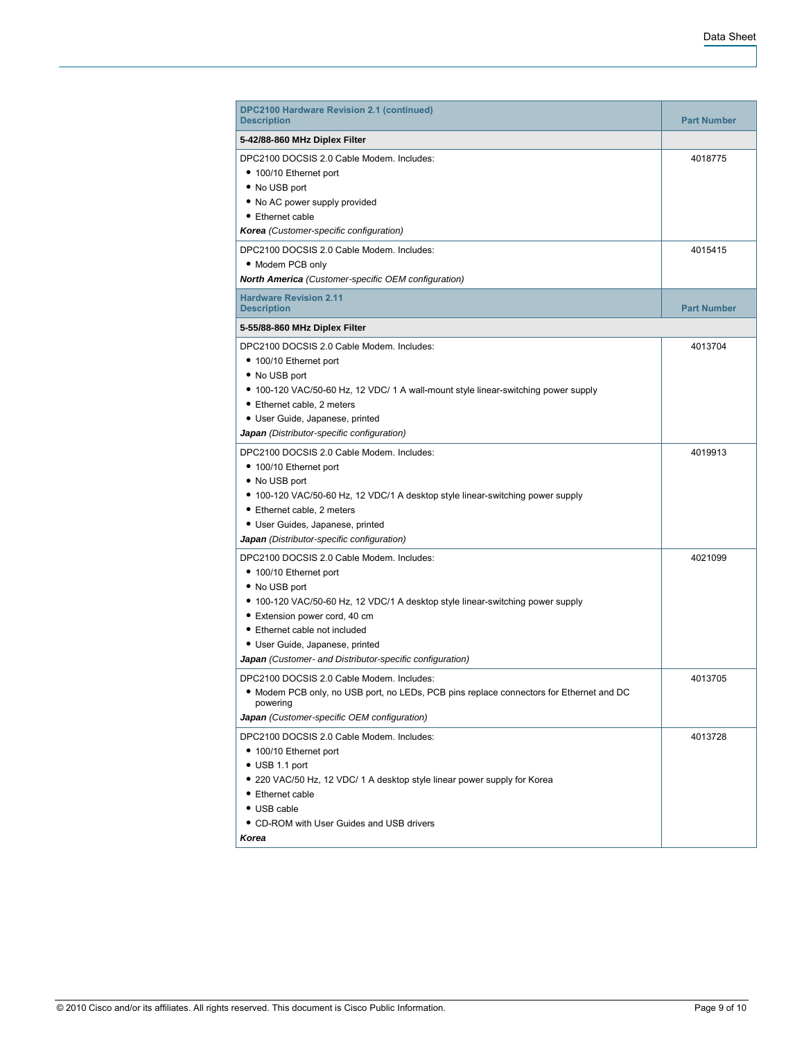| <b>DPC2100 Hardware Revision 2.1 (continued)</b><br><b>Description</b>                              | <b>Part Number</b> |
|-----------------------------------------------------------------------------------------------------|--------------------|
| 5-42/88-860 MHz Diplex Filter                                                                       |                    |
| DPC2100 DOCSIS 2.0 Cable Modem. Includes:<br>• 100/10 Ethernet port                                 | 4018775            |
| • No USB port                                                                                       |                    |
| . No AC power supply provided                                                                       |                    |
| • Ethernet cable                                                                                    |                    |
| Korea (Customer-specific configuration)                                                             |                    |
| DPC2100 DOCSIS 2.0 Cable Modem. Includes:                                                           | 4015415            |
| • Modem PCB only                                                                                    |                    |
| <b>North America</b> (Customer-specific OEM configuration)                                          |                    |
| <b>Hardware Revision 2.11</b><br><b>Description</b>                                                 | <b>Part Number</b> |
| 5-55/88-860 MHz Diplex Filter                                                                       |                    |
| DPC2100 DOCSIS 2.0 Cable Modem. Includes:                                                           | 4013704            |
| • 100/10 Ethernet port                                                                              |                    |
| • No USB port                                                                                       |                    |
| • 100-120 VAC/50-60 Hz, 12 VDC/ 1 A wall-mount style linear-switching power supply                  |                    |
| • Ethernet cable, 2 meters                                                                          |                    |
| • User Guide, Japanese, printed                                                                     |                    |
| Japan (Distributor-specific configuration)                                                          |                    |
| DPC2100 DOCSIS 2.0 Cable Modem. Includes:                                                           | 4019913            |
| • 100/10 Ethernet port                                                                              |                    |
| • No USB port                                                                                       |                    |
| • 100-120 VAC/50-60 Hz, 12 VDC/1 A desktop style linear-switching power supply                      |                    |
| • Ethernet cable, 2 meters                                                                          |                    |
| • User Guides, Japanese, printed                                                                    |                    |
| Japan (Distributor-specific configuration)                                                          |                    |
| DPC2100 DOCSIS 2.0 Cable Modem. Includes:                                                           | 4021099            |
| • 100/10 Ethernet port                                                                              |                    |
| • No USB port                                                                                       |                    |
| • 100-120 VAC/50-60 Hz, 12 VDC/1 A desktop style linear-switching power supply                      |                    |
| • Extension power cord, 40 cm                                                                       |                    |
| • Ethernet cable not included                                                                       |                    |
| • User Guide, Japanese, printed                                                                     |                    |
| Japan (Customer- and Distributor-specific configuration)                                            |                    |
| DPC2100 DOCSIS 2.0 Cable Modem. Includes:                                                           | 4013705            |
| . Modem PCB only, no USB port, no LEDs, PCB pins replace connectors for Ethernet and DC<br>powering |                    |
| Japan (Customer-specific OEM configuration)                                                         |                    |
| DPC2100 DOCSIS 2.0 Cable Modem. Includes:                                                           | 4013728            |
| • 100/10 Ethernet port                                                                              |                    |
| $\bullet$ USB 1.1 port                                                                              |                    |
| • 220 VAC/50 Hz, 12 VDC/ 1 A desktop style linear power supply for Korea                            |                    |
| • Ethernet cable                                                                                    |                    |
| • USB cable                                                                                         |                    |
| • CD-ROM with User Guides and USB drivers                                                           |                    |
| Korea                                                                                               |                    |